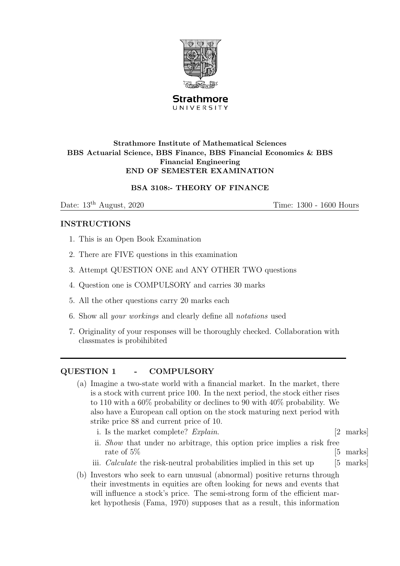

**Strathmore** UNIVERSITY

#### Strathmore Institute of Mathematical Sciences BBS Actuarial Science, BBS Finance, BBS Financial Economics & BBS Financial Engineering END OF SEMESTER EXAMINATION

## BSA 3108:- THEORY OF FINANCE

Date:  $13<sup>th</sup>$  August,  $2020$  Time:  $1300 - 1600$  Hours

### INSTRUCTIONS

- 1. This is an Open Book Examination
- 2. There are FIVE questions in this examination
- 3. Attempt QUESTION ONE and ANY OTHER TWO questions
- 4. Question one is COMPULSORY and carries 30 marks
- 5. All the other questions carry 20 marks each
- 6. Show all your workings and clearly define all notations used
- 7. Originality of your responses will be thoroughly checked. Collaboration with classmates is probihibited

# QUESTION 1 - COMPULSORY

- (a) Imagine a two-state world with a financial market. In the market, there is a stock with current price 100. In the next period, the stock either rises to 110 with a 60% probability or declines to 90 with 40% probability. We also have a European call option on the stock maturing next period with strike price 88 and current price of 10.
	- i. Is the market complete? *Explain*. [2 marks]
	- ii. Show that under no arbitrage, this option price implies a risk free rate of  $5\%$  [5 marks]
	- iii. *Calculate* the risk-neutral probabilities implied in this set up  $[5 \text{ marks}]$
- (b) Investors who seek to earn unusual (abnormal) positive returns through their investments in equities are often looking for news and events that will influence a stock's price. The semi-strong form of the efficient market hypothesis (Fama, 1970) supposes that as a result, this information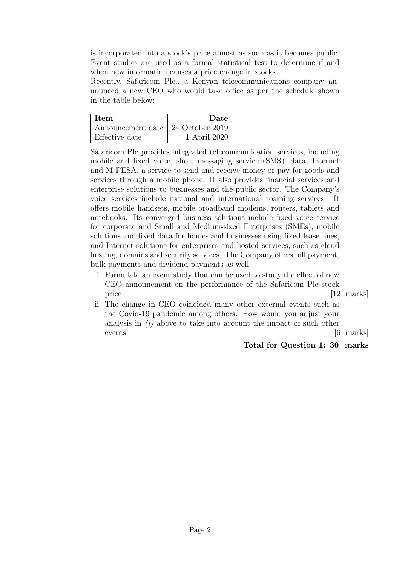is incorporated into a stock's price almost as soon as it becomes public. Event studies are used as a formal statistical test to determine if and when new information causes a price change in stocks.

Recently, Safaricom Plc., a Kenyan telecommunications company announced a new CEO who would take office as per the schedule shown in the table below:

| <b>Item</b>                         | Date         |
|-------------------------------------|--------------|
| Announcement date   24 October 2019 |              |
| Effective date                      | 1 April 2020 |

Safaricom Plc provides integrated telecommunication services, including mobile and fixed voice, short messaging service (SMS), data, Internet and M-PESA, a service to send and receive money or pay for goods and services through a mobile phone. It also provides financial services and enterprise solutions to businesses and the public sector. The Company's voice services include national and international roaming services. It offers mobile handsets, mobile broadband modems, routers, tablets and notebooks. Its converged business solutions include fixed voice service for corporate and Small and Medium-sized Enterprises (SMEs), mobile solutions and fixed data for homes and businesses using fixed lease lines, and Internet solutions for enterprises and hosted services, such as cloud hosting, domains and security services. The Company offers bill payment, bulk payments and dividend payments as well.

- i. Formulate an event study that can be used to study the effect of new CEO announcment on the performance of the Safaricom Plc stock price [12 marks]
- ii. The change in CEO coincided many other external events such as the Covid-19 pandemic among others. How would you adjust your analysis in  $(i)$  above to take into account the impact of such other events.  $\boxed{6 \text{ marks}}$

#### Total for Question 1: 30 marks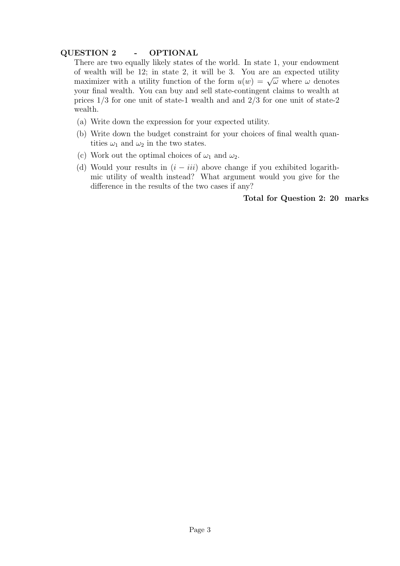## QUESTION 2 - OPTIONAL

There are two equally likely states of the world. In state 1, your endowment of wealth will be 12; in state 2, it will be 3. You are an expected utility of weather with a utility function of the form  $u(w) = \sqrt{\omega}$  where  $\omega$  denotes your final wealth. You can buy and sell state-contingent claims to wealth at prices 1/3 for one unit of state-1 wealth and and 2/3 for one unit of state-2 wealth.

- (a) Write down the expression for your expected utility.
- (b) Write down the budget constraint for your choices of final wealth quantities  $\omega_1$  and  $\omega_2$  in the two states.
- (c) Work out the optimal choices of  $\omega_1$  and  $\omega_2$ .
- (d) Would your results in  $(i iii)$  above change if you exhibited logarithmic utility of wealth instead? What argument would you give for the difference in the results of the two cases if any?

## Total for Question 2: 20 marks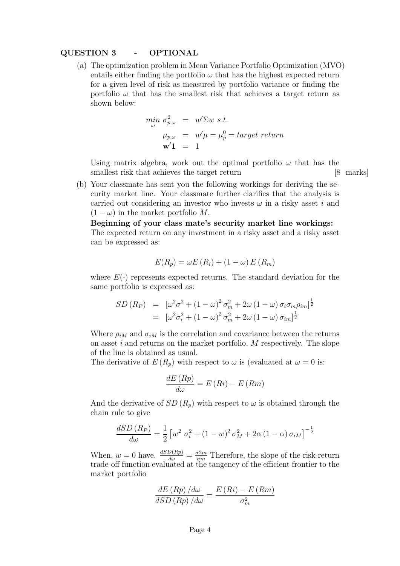#### QUESTION 3 - OPTIONAL

(a) The optimization problem in Mean Variance Portfolio Optimization (MVO) entails either finding the portfolio  $\omega$  that has the highest expected return for a given level of risk as measured by portfolio variance or finding the portfolio  $\omega$  that has the smallest risk that achieves a target return as shown below:

$$
\begin{array}{rcl}\n\min_{\omega} \sigma_{p,\omega}^2 & = & w' \Sigma w \text{ s.t.} \\
\mu_{p,\omega} & = & w' \mu = \mu_p^0 = \text{target return} \\
\mathbf{w'} \mathbf{1} & = & 1\n\end{array}
$$

Using matrix algebra, work out the optimal portfolio  $\omega$  that has the smallest risk that achieves the target return [8 marks]

(b) Your classmate has sent you the following workings for deriving the security market line. Your classmate further clarifies that the analysis is carried out considering an investor who invests  $\omega$  in a risky asset i and  $(1 - \omega)$  in the market portfolio M.

Beginning of your class mate's security market line workings: The expected return on any investment in a risky asset and a risky asset can be expressed as:

$$
E(R_p) = \omega E(R_i) + (1 - \omega) E(R_m)
$$

where  $E(\cdot)$  represents expected returns. The standard deviation for the same portfolio is expressed as:

$$
SD(R_P) = [\omega^2 \sigma^2 + (1 - \omega)^2 \sigma_m^2 + 2\omega (1 - \omega) \sigma_i \sigma_m \rho_{im}]^{\frac{1}{2}}
$$
  
= 
$$
[\omega^2 \sigma_i^2 + (1 - \omega)^2 \sigma_m^2 + 2\omega (1 - \omega) \sigma_{im}]^{\frac{1}{2}}
$$

Where  $\rho_{iM}$  and  $\sigma_{iM}$  is the correlation and covariance between the returns on asset i and returns on the market portfolio, M respectively. The slope of the line is obtained as usual.

The derivative of  $E(R_p)$  with respect to  $\omega$  is (evaluated at  $\omega = 0$  is:

$$
\frac{dE\left(Rp\right)}{d\omega} = E\left(Ri\right) - E\left(Rm\right)
$$

And the derivative of  $SD(R_p)$  with respect to  $\omega$  is obtained through the chain rule to give

$$
\frac{dSD(R_P)}{d\omega} = \frac{1}{2} \left[ w^2 \sigma_i^2 + (1 - w)^2 \sigma_M^2 + 2\alpha (1 - \alpha) \sigma_i M \right]^{-\frac{1}{2}}
$$

When,  $w = 0$  have.  $\frac{dSD(Rp)}{dw} = \frac{\sigma 2m}{\sigma m}$  Therefore, the slope of the risk-return trade-off function evaluated at the tangency of the efficient frontier to the market portfolio

$$
\frac{dE\left(Rp\right)/d\omega}{dSD\left(Rp\right)/d\omega} = \frac{E\left(Ri\right) - E\left(Rm\right)}{\sigma_m^2}
$$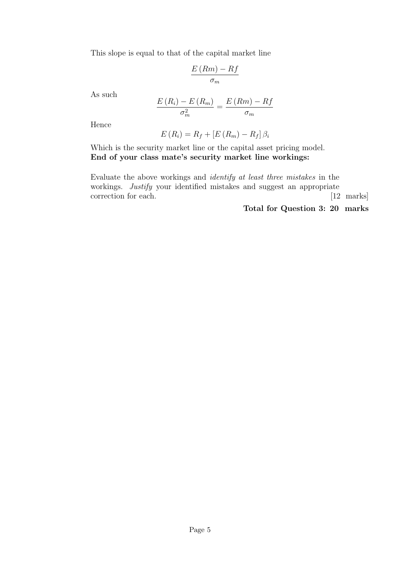This slope is equal to that of the capital market line

$$
\frac{E(Rm) - Rf}{\sigma_m}
$$

As such

$$
\frac{E(R_i) - E(R_m)}{\sigma_m^2} = \frac{E(Rm) - Rf}{\sigma_m}
$$

Hence

$$
E(R_i) = R_f + [E(R_m) - R_f] \beta_i
$$

Which is the security market line or the capital asset pricing model. End of your class mate's security market line workings:

Evaluate the above workings and identify at least three mistakes in the workings. *Justify* your identified mistakes and suggest an appropriate correction for each. [12 marks]

Total for Question 3: 20 marks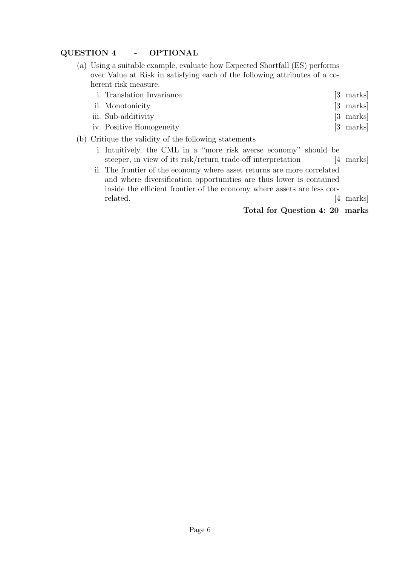# QUESTION 4 - OPTIONAL

- (a) Using a suitable example, evaluate how Expected Shortfall (ES) performs over Value at Risk in satisfying each of the following attributes of a coherent risk measure.
	- i. Translation Invariance [3 marks]
	- ii. Monotonicity [3 marks]
	- iii. Sub-additivity [3 marks] iv. Positive Homogeneity [3 marks]
- (b) Critique the validity of the following statements
	- i. Intuitively, the CML in a "more risk averse economy" should be steeper, in view of its risk/return trade-off interpretation [4 marks]
	- ii. The frontier of the economy where asset returns are more correlated and where diversification opportunities are thus lower is contained inside the efficient frontier of the economy where assets are less correlated.  $[4 \text{ marks}]$

Total for Question 4: 20 marks